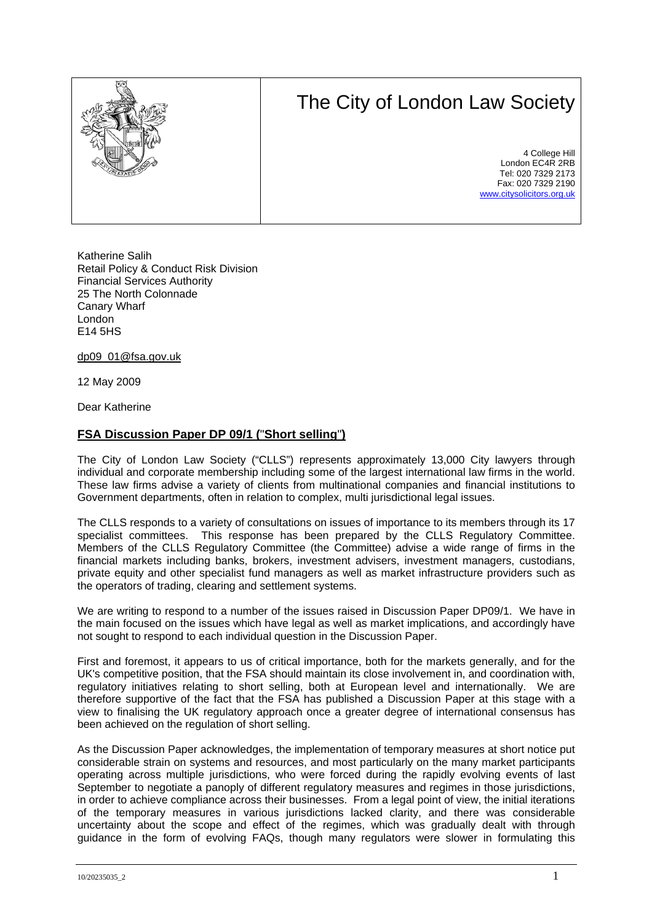# The City of London Law Society



4 College Hill London EC4R 2RB Tel: 020 7329 2173 Fax: 020 7329 2190 [www.citysolicitors.org.uk](http://www.citysolicitors.org.uk/)

Katherine Salih Retail Policy & Conduct Risk Division Financial Services Authority 25 The North Colonnade Canary Wharf London E14 5HS

dp09\_01@fsa.gov.uk

12 May 2009

Dear Katherine

## **FSA Discussion Paper DP 09/1 (**"**Short selling**"**)**

The City of London Law Society ("CLLS") represents approximately 13,000 City lawyers through individual and corporate membership including some of the largest international law firms in the world. These law firms advise a variety of clients from multinational companies and financial institutions to Government departments, often in relation to complex, multi jurisdictional legal issues.

The CLLS responds to a variety of consultations on issues of importance to its members through its 17 specialist committees. This response has been prepared by the CLLS Regulatory Committee. Members of the CLLS Regulatory Committee (the Committee) advise a wide range of firms in the financial markets including banks, brokers, investment advisers, investment managers, custodians, private equity and other specialist fund managers as well as market infrastructure providers such as the operators of trading, clearing and settlement systems.

We are writing to respond to a number of the issues raised in Discussion Paper DP09/1. We have in the main focused on the issues which have legal as well as market implications, and accordingly have not sought to respond to each individual question in the Discussion Paper.

First and foremost, it appears to us of critical importance, both for the markets generally, and for the UK's competitive position, that the FSA should maintain its close involvement in, and coordination with, regulatory initiatives relating to short selling, both at European level and internationally. We are therefore supportive of the fact that the FSA has published a Discussion Paper at this stage with a view to finalising the UK regulatory approach once a greater degree of international consensus has been achieved on the regulation of short selling.

As the Discussion Paper acknowledges, the implementation of temporary measures at short notice put considerable strain on systems and resources, and most particularly on the many market participants operating across multiple jurisdictions, who were forced during the rapidly evolving events of last September to negotiate a panoply of different regulatory measures and regimes in those jurisdictions, in order to achieve compliance across their businesses. From a legal point of view, the initial iterations of the temporary measures in various jurisdictions lacked clarity, and there was considerable uncertainty about the scope and effect of the regimes, which was gradually dealt with through guidance in the form of evolving FAQs, though many regulators were slower in formulating this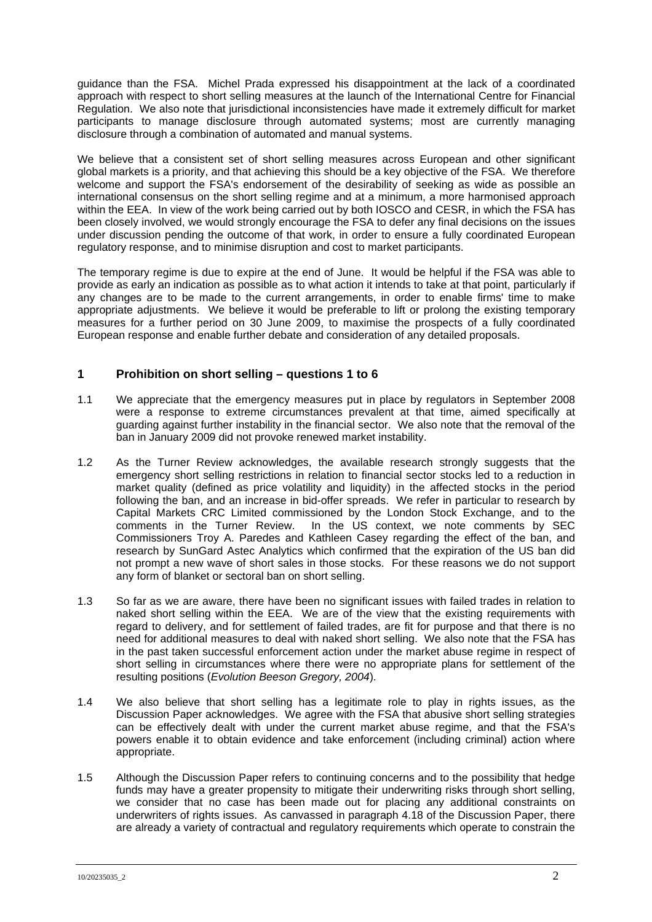guidance than the FSA. Michel Prada expressed his disappointment at the lack of a coordinated approach with respect to short selling measures at the launch of the International Centre for Financial Regulation. We also note that jurisdictional inconsistencies have made it extremely difficult for market participants to manage disclosure through automated systems; most are currently managing disclosure through a combination of automated and manual systems.

We believe that a consistent set of short selling measures across European and other significant global markets is a priority, and that achieving this should be a key objective of the FSA. We therefore welcome and support the FSA's endorsement of the desirability of seeking as wide as possible an international consensus on the short selling regime and at a minimum, a more harmonised approach within the EEA. In view of the work being carried out by both IOSCO and CESR, in which the FSA has been closely involved, we would strongly encourage the FSA to defer any final decisions on the issues under discussion pending the outcome of that work, in order to ensure a fully coordinated European regulatory response, and to minimise disruption and cost to market participants.

The temporary regime is due to expire at the end of June. It would be helpful if the FSA was able to provide as early an indication as possible as to what action it intends to take at that point, particularly if any changes are to be made to the current arrangements, in order to enable firms' time to make appropriate adjustments. We believe it would be preferable to lift or prolong the existing temporary measures for a further period on 30 June 2009, to maximise the prospects of a fully coordinated European response and enable further debate and consideration of any detailed proposals.

# **1 Prohibition on short selling – questions 1 to 6**

- 1.1 We appreciate that the emergency measures put in place by regulators in September 2008 were a response to extreme circumstances prevalent at that time, aimed specifically at guarding against further instability in the financial sector. We also note that the removal of the ban in January 2009 did not provoke renewed market instability.
- 1.2 As the Turner Review acknowledges, the available research strongly suggests that the emergency short selling restrictions in relation to financial sector stocks led to a reduction in market quality (defined as price volatility and liquidity) in the affected stocks in the period following the ban, and an increase in bid-offer spreads. We refer in particular to research by Capital Markets CRC Limited commissioned by the London Stock Exchange, and to the comments in the Turner Review. In the US context, we note comments by SEC Commissioners Troy A. Paredes and Kathleen Casey regarding the effect of the ban, and research by SunGard Astec Analytics which confirmed that the expiration of the US ban did not prompt a new wave of short sales in those stocks. For these reasons we do not support any form of blanket or sectoral ban on short selling.
- 1.3 So far as we are aware, there have been no significant issues with failed trades in relation to naked short selling within the EEA. We are of the view that the existing requirements with regard to delivery, and for settlement of failed trades, are fit for purpose and that there is no need for additional measures to deal with naked short selling. We also note that the FSA has in the past taken successful enforcement action under the market abuse regime in respect of short selling in circumstances where there were no appropriate plans for settlement of the resulting positions (*Evolution Beeson Gregory, 2004*).
- 1.4 We also believe that short selling has a legitimate role to play in rights issues, as the Discussion Paper acknowledges. We agree with the FSA that abusive short selling strategies can be effectively dealt with under the current market abuse regime, and that the FSA's powers enable it to obtain evidence and take enforcement (including criminal) action where appropriate.
- 1.5 Although the Discussion Paper refers to continuing concerns and to the possibility that hedge funds may have a greater propensity to mitigate their underwriting risks through short selling, we consider that no case has been made out for placing any additional constraints on underwriters of rights issues. As canvassed in paragraph 4.18 of the Discussion Paper, there are already a variety of contractual and regulatory requirements which operate to constrain the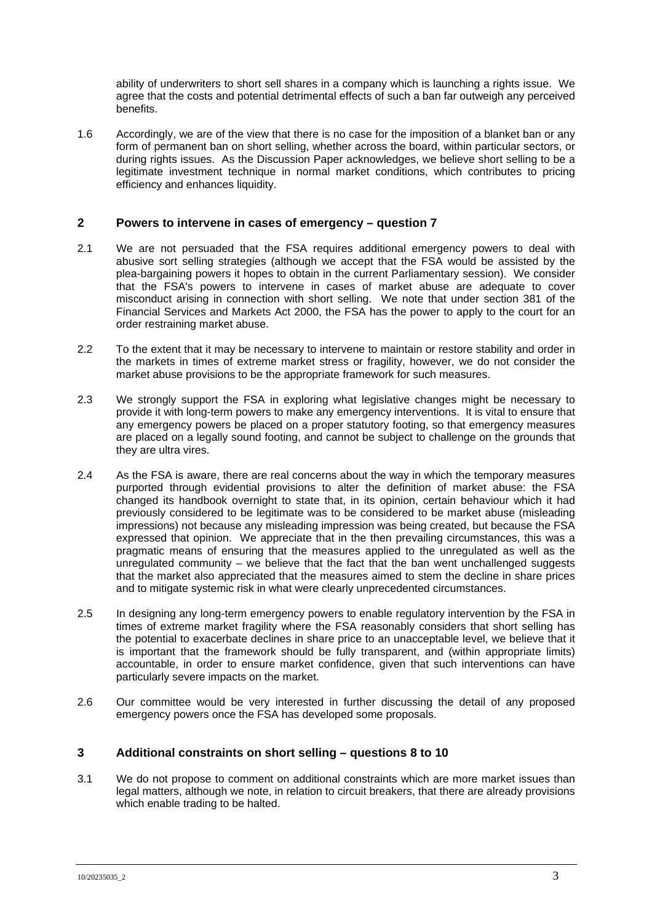ability of underwriters to short sell shares in a company which is launching a rights issue. We agree that the costs and potential detrimental effects of such a ban far outweigh any perceived benefits.

1.6 Accordingly, we are of the view that there is no case for the imposition of a blanket ban or any form of permanent ban on short selling, whether across the board, within particular sectors, or during rights issues. As the Discussion Paper acknowledges, we believe short selling to be a legitimate investment technique in normal market conditions, which contributes to pricing efficiency and enhances liquidity.

## **2 Powers to intervene in cases of emergency – question 7**

- 2.1 We are not persuaded that the FSA requires additional emergency powers to deal with abusive sort selling strategies (although we accept that the FSA would be assisted by the plea-bargaining powers it hopes to obtain in the current Parliamentary session). We consider that the FSA's powers to intervene in cases of market abuse are adequate to cover misconduct arising in connection with short selling. We note that under section 381 of the Financial Services and Markets Act 2000, the FSA has the power to apply to the court for an order restraining market abuse.
- 2.2 To the extent that it may be necessary to intervene to maintain or restore stability and order in the markets in times of extreme market stress or fragility, however, we do not consider the market abuse provisions to be the appropriate framework for such measures.
- 2.3 We strongly support the FSA in exploring what legislative changes might be necessary to provide it with long-term powers to make any emergency interventions. It is vital to ensure that any emergency powers be placed on a proper statutory footing, so that emergency measures are placed on a legally sound footing, and cannot be subject to challenge on the grounds that they are ultra vires.
- 2.4 As the FSA is aware, there are real concerns about the way in which the temporary measures purported through evidential provisions to alter the definition of market abuse: the FSA changed its handbook overnight to state that, in its opinion, certain behaviour which it had previously considered to be legitimate was to be considered to be market abuse (misleading impressions) not because any misleading impression was being created, but because the FSA expressed that opinion. We appreciate that in the then prevailing circumstances, this was a pragmatic means of ensuring that the measures applied to the unregulated as well as the unregulated community – we believe that the fact that the ban went unchallenged suggests that the market also appreciated that the measures aimed to stem the decline in share prices and to mitigate systemic risk in what were clearly unprecedented circumstances.
- 2.5 In designing any long-term emergency powers to enable regulatory intervention by the FSA in times of extreme market fragility where the FSA reasonably considers that short selling has the potential to exacerbate declines in share price to an unacceptable level, we believe that it is important that the framework should be fully transparent, and (within appropriate limits) accountable, in order to ensure market confidence, given that such interventions can have particularly severe impacts on the market.
- 2.6 Our committee would be very interested in further discussing the detail of any proposed emergency powers once the FSA has developed some proposals.

#### **3 Additional constraints on short selling – questions 8 to 10**

3.1 We do not propose to comment on additional constraints which are more market issues than legal matters, although we note, in relation to circuit breakers, that there are already provisions which enable trading to be halted.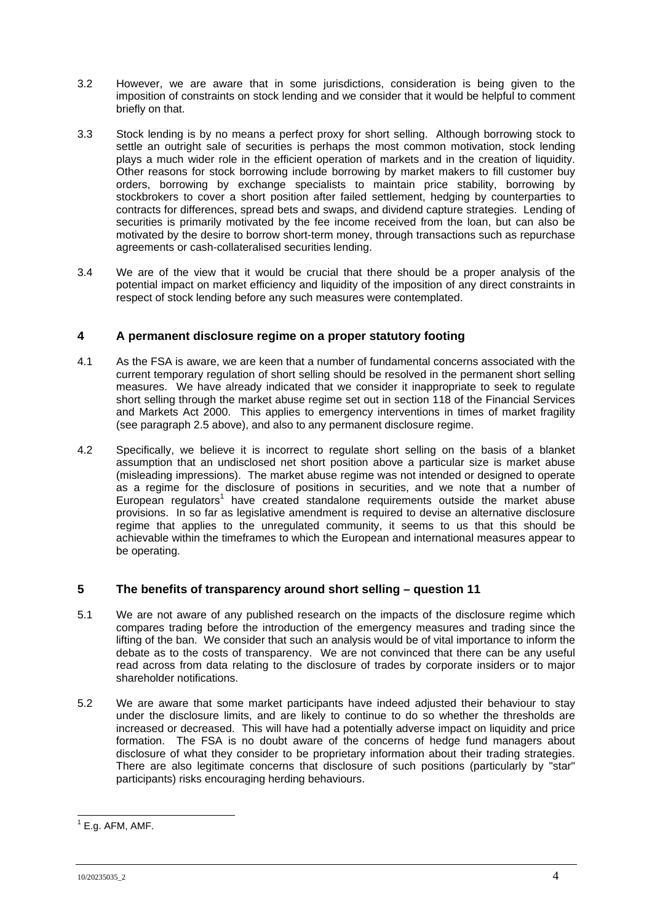- 3.2 However, we are aware that in some jurisdictions, consideration is being given to the imposition of constraints on stock lending and we consider that it would be helpful to comment briefly on that.
- 3.3 Stock lending is by no means a perfect proxy for short selling. Although borrowing stock to settle an outright sale of securities is perhaps the most common motivation, stock lending plays a much wider role in the efficient operation of markets and in the creation of liquidity. Other reasons for stock borrowing include borrowing by market makers to fill customer buy orders, borrowing by exchange specialists to maintain price stability, borrowing by stockbrokers to cover a short position after failed settlement, hedging by counterparties to contracts for differences, spread bets and swaps, and dividend capture strategies. Lending of securities is primarily motivated by the fee income received from the loan, but can also be motivated by the desire to borrow short-term money, through transactions such as repurchase agreements or cash-collateralised securities lending.
- 3.4 We are of the view that it would be crucial that there should be a proper analysis of the potential impact on market efficiency and liquidity of the imposition of any direct constraints in respect of stock lending before any such measures were contemplated.

# **4 A permanent disclosure regime on a proper statutory footing**

- 4.1 As the FSA is aware, we are keen that a number of fundamental concerns associated with the current temporary regulation of short selling should be resolved in the permanent short selling measures. We have already indicated that we consider it inappropriate to seek to regulate short selling through the market abuse regime set out in section 118 of the Financial Services and Markets Act 2000. This applies to emergency interventions in times of market fragility (see paragraph 2.5 above), and also to any permanent disclosure regime.
- 4.2 Specifically, we believe it is incorrect to regulate short selling on the basis of a blanket assumption that an undisclosed net short position above a particular size is market abuse (misleading impressions). The market abuse regime was not intended or designed to operate as a regime for the disclosure of positions in securities, and we note that a number of European regulators<sup>[1](#page-3-0)</sup> have created standalone requirements outside the market abuse provisions. In so far as legislative amendment is required to devise an alternative disclosure regime that applies to the unregulated community, it seems to us that this should be achievable within the timeframes to which the European and international measures appear to be operating.

# **5 The benefits of transparency around short selling – question 11**

- 5.1 We are not aware of any published research on the impacts of the disclosure regime which compares trading before the introduction of the emergency measures and trading since the lifting of the ban. We consider that such an analysis would be of vital importance to inform the debate as to the costs of transparency. We are not convinced that there can be any useful read across from data relating to the disclosure of trades by corporate insiders or to major shareholder notifications.
- 5.2 We are aware that some market participants have indeed adjusted their behaviour to stay under the disclosure limits, and are likely to continue to do so whether the thresholds are increased or decreased. This will have had a potentially adverse impact on liquidity and price formation. The FSA is no doubt aware of the concerns of hedge fund managers about disclosure of what they consider to be proprietary information about their trading strategies. There are also legitimate concerns that disclosure of such positions (particularly by "star" participants) risks encouraging herding behaviours.

<span id="page-3-0"></span> $1$  E.g. AFM, AMF.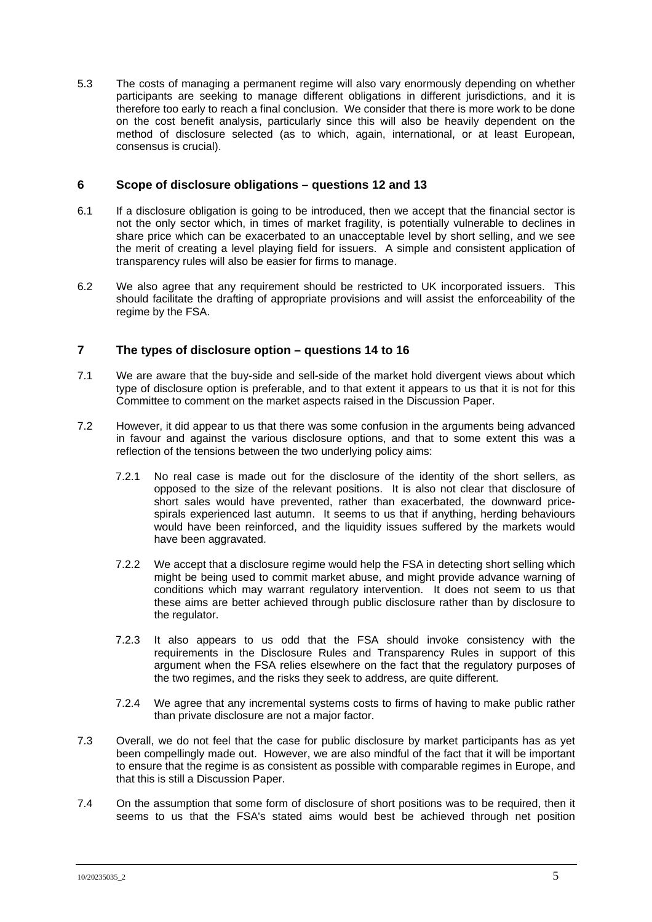5.3 The costs of managing a permanent regime will also vary enormously depending on whether participants are seeking to manage different obligations in different jurisdictions, and it is therefore too early to reach a final conclusion. We consider that there is more work to be done on the cost benefit analysis, particularly since this will also be heavily dependent on the method of disclosure selected (as to which, again, international, or at least European, consensus is crucial).

## **6 Scope of disclosure obligations – questions 12 and 13**

- 6.1 If a disclosure obligation is going to be introduced, then we accept that the financial sector is not the only sector which, in times of market fragility, is potentially vulnerable to declines in share price which can be exacerbated to an unacceptable level by short selling, and we see the merit of creating a level playing field for issuers. A simple and consistent application of transparency rules will also be easier for firms to manage.
- 6.2 We also agree that any requirement should be restricted to UK incorporated issuers. This should facilitate the drafting of appropriate provisions and will assist the enforceability of the regime by the FSA.

# **7 The types of disclosure option – questions 14 to 16**

- 7.1 We are aware that the buy-side and sell-side of the market hold divergent views about which type of disclosure option is preferable, and to that extent it appears to us that it is not for this Committee to comment on the market aspects raised in the Discussion Paper.
- 7.2 However, it did appear to us that there was some confusion in the arguments being advanced in favour and against the various disclosure options, and that to some extent this was a reflection of the tensions between the two underlying policy aims:
	- 7.2.1 No real case is made out for the disclosure of the identity of the short sellers, as opposed to the size of the relevant positions. It is also not clear that disclosure of short sales would have prevented, rather than exacerbated, the downward pricespirals experienced last autumn. It seems to us that if anything, herding behaviours would have been reinforced, and the liquidity issues suffered by the markets would have been aggravated.
	- 7.2.2 We accept that a disclosure regime would help the FSA in detecting short selling which might be being used to commit market abuse, and might provide advance warning of conditions which may warrant regulatory intervention. It does not seem to us that these aims are better achieved through public disclosure rather than by disclosure to the regulator.
	- 7.2.3 It also appears to us odd that the FSA should invoke consistency with the requirements in the Disclosure Rules and Transparency Rules in support of this argument when the FSA relies elsewhere on the fact that the regulatory purposes of the two regimes, and the risks they seek to address, are quite different.
	- 7.2.4 We agree that any incremental systems costs to firms of having to make public rather than private disclosure are not a major factor.
- 7.3 Overall, we do not feel that the case for public disclosure by market participants has as yet been compellingly made out. However, we are also mindful of the fact that it will be important to ensure that the regime is as consistent as possible with comparable regimes in Europe, and that this is still a Discussion Paper.
- 7.4 On the assumption that some form of disclosure of short positions was to be required, then it seems to us that the FSA's stated aims would best be achieved through net position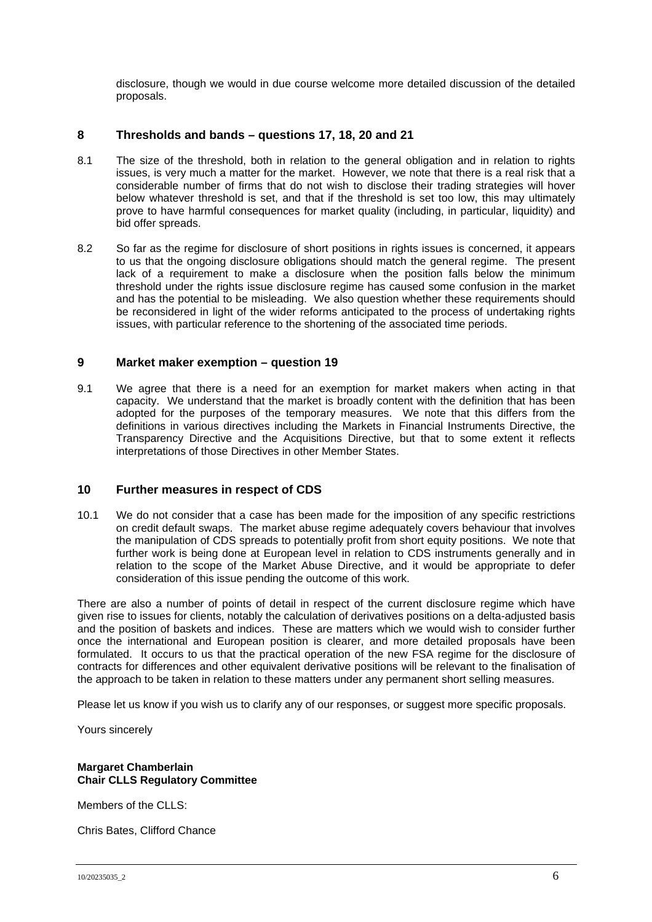disclosure, though we would in due course welcome more detailed discussion of the detailed proposals.

## **8 Thresholds and bands – questions 17, 18, 20 and 21**

- 8.1 The size of the threshold, both in relation to the general obligation and in relation to rights issues, is very much a matter for the market. However, we note that there is a real risk that a considerable number of firms that do not wish to disclose their trading strategies will hover below whatever threshold is set, and that if the threshold is set too low, this may ultimately prove to have harmful consequences for market quality (including, in particular, liquidity) and bid offer spreads.
- 8.2 So far as the regime for disclosure of short positions in rights issues is concerned, it appears to us that the ongoing disclosure obligations should match the general regime. The present lack of a requirement to make a disclosure when the position falls below the minimum threshold under the rights issue disclosure regime has caused some confusion in the market and has the potential to be misleading. We also question whether these requirements should be reconsidered in light of the wider reforms anticipated to the process of undertaking rights issues, with particular reference to the shortening of the associated time periods.

#### **9 Market maker exemption – question 19**

9.1 We agree that there is a need for an exemption for market makers when acting in that capacity. We understand that the market is broadly content with the definition that has been adopted for the purposes of the temporary measures. We note that this differs from the definitions in various directives including the Markets in Financial Instruments Directive, the Transparency Directive and the Acquisitions Directive, but that to some extent it reflects interpretations of those Directives in other Member States.

#### **10 Further measures in respect of CDS**

10.1 We do not consider that a case has been made for the imposition of any specific restrictions on credit default swaps. The market abuse regime adequately covers behaviour that involves the manipulation of CDS spreads to potentially profit from short equity positions. We note that further work is being done at European level in relation to CDS instruments generally and in relation to the scope of the Market Abuse Directive, and it would be appropriate to defer consideration of this issue pending the outcome of this work.

There are also a number of points of detail in respect of the current disclosure regime which have given rise to issues for clients, notably the calculation of derivatives positions on a delta-adjusted basis and the position of baskets and indices. These are matters which we would wish to consider further once the international and European position is clearer, and more detailed proposals have been formulated. It occurs to us that the practical operation of the new FSA regime for the disclosure of contracts for differences and other equivalent derivative positions will be relevant to the finalisation of the approach to be taken in relation to these matters under any permanent short selling measures.

Please let us know if you wish us to clarify any of our responses, or suggest more specific proposals.

Yours sincerely

#### **Margaret Chamberlain Chair CLLS Regulatory Committee**

Members of the CLLS:

Chris Bates, Clifford Chance